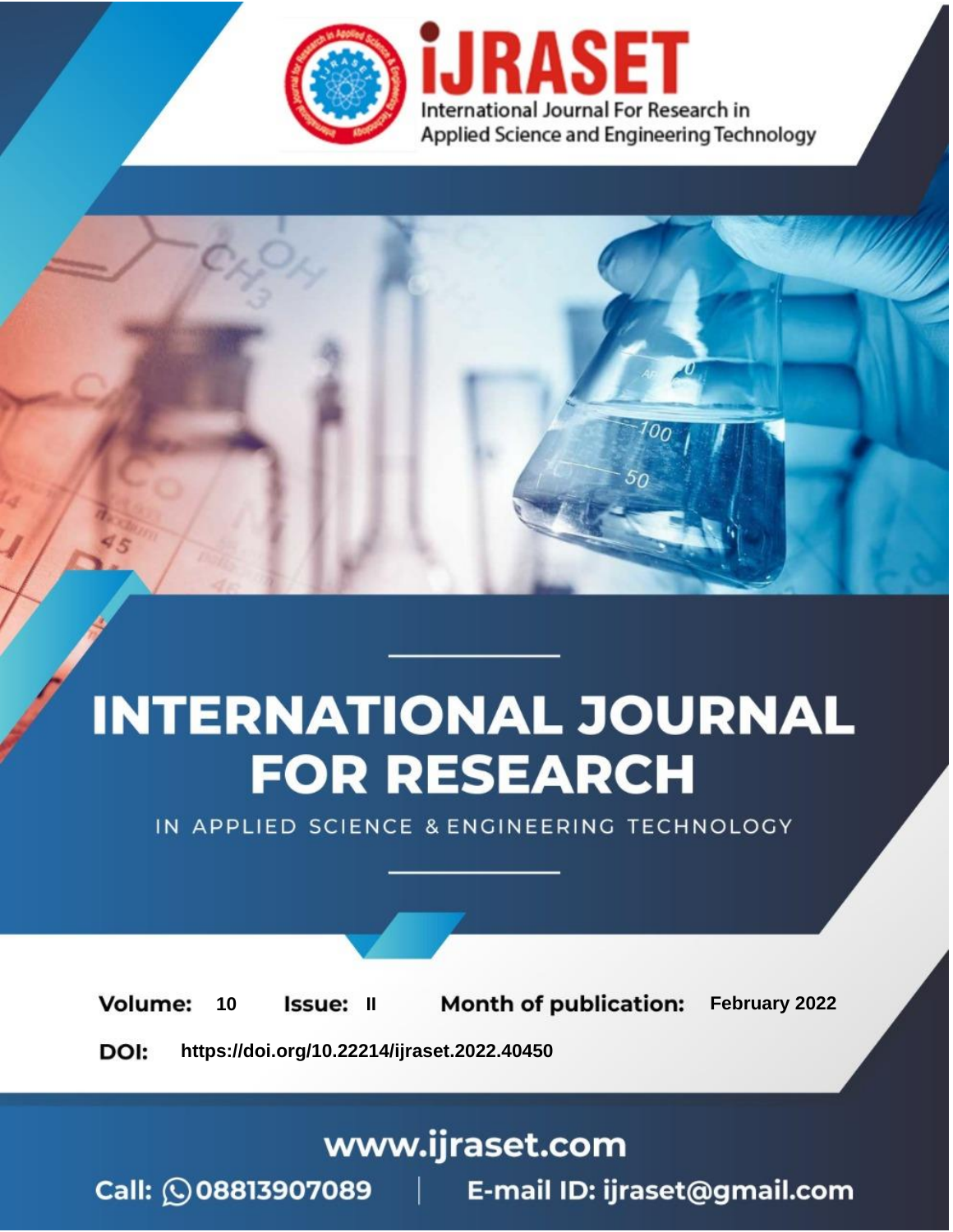

# **INTERNATIONAL JOURNAL FOR RESEARCH**

IN APPLIED SCIENCE & ENGINEERING TECHNOLOGY

**Month of publication:** February 2022 **Volume:** 10 **Issue: II** DOI: https://doi.org/10.22214/ijraset.2022.40450

www.ijraset.com

 $Call: \bigcirc$ 08813907089 E-mail ID: ijraset@gmail.com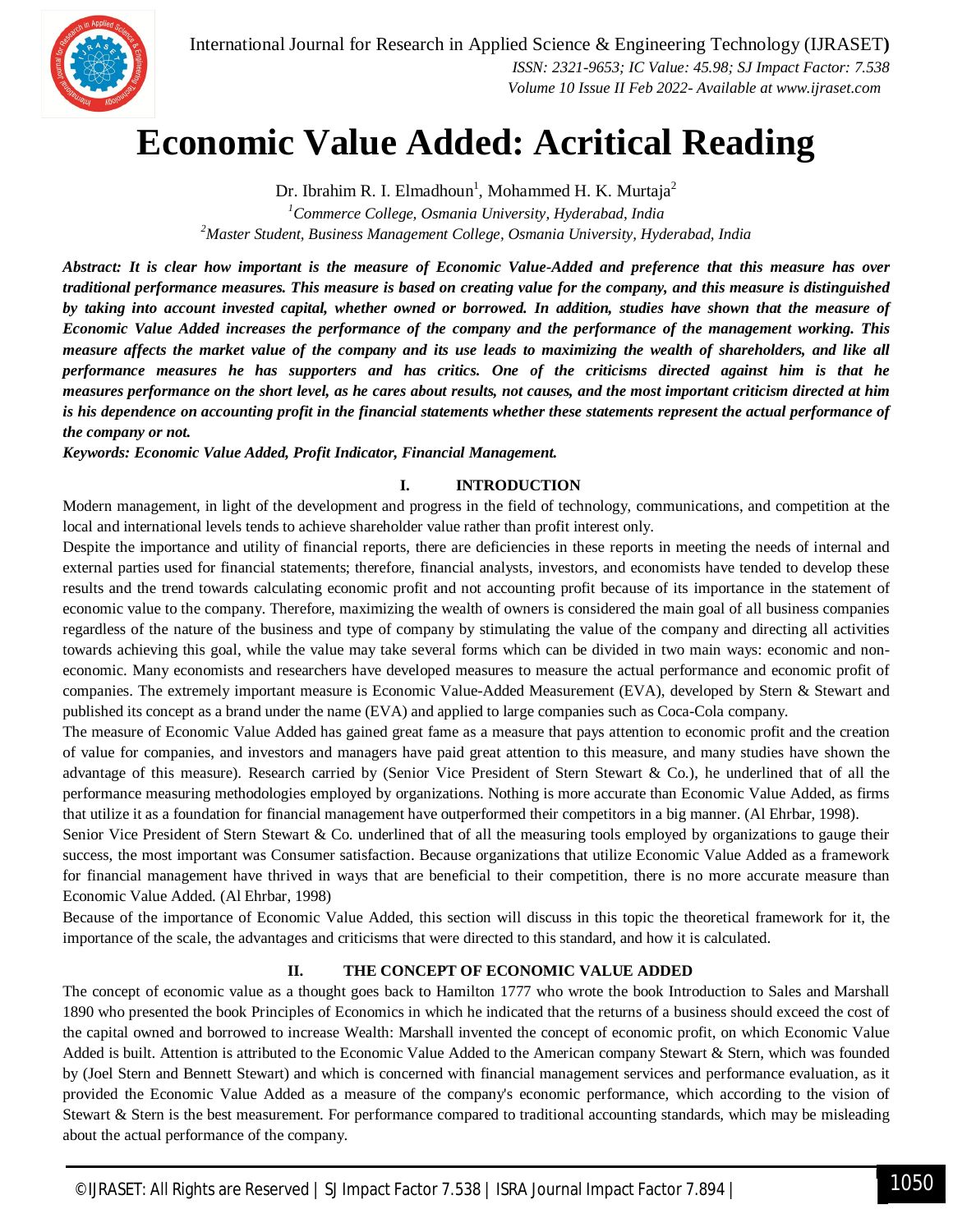

## **Economic Value Added: Acritical Reading**

Dr. Ibrahim R. I. Elmadhoun<sup>1</sup>, Mohammed H. K. Murtaja<sup>2</sup>

*<sup>1</sup>Commerce College, Osmania University, Hyderabad, India <sup>2</sup>Master Student, Business Management College, Osmania University, Hyderabad, India*

*Abstract: It is clear how important is the measure of Economic Value-Added and preference that this measure has over traditional performance measures. This measure is based on creating value for the company, and this measure is distinguished by taking into account invested capital, whether owned or borrowed. In addition, studies have shown that the measure of Economic Value Added increases the performance of the company and the performance of the management working. This measure affects the market value of the company and its use leads to maximizing the wealth of shareholders, and like all performance measures he has supporters and has critics. One of the criticisms directed against him is that he measures performance on the short level, as he cares about results, not causes, and the most important criticism directed at him is his dependence on accounting profit in the financial statements whether these statements represent the actual performance of the company or not.*

*Keywords: Economic Value Added, Profit Indicator, Financial Management.*

### **I. INTRODUCTION**

Modern management, in light of the development and progress in the field of technology, communications, and competition at the local and international levels tends to achieve shareholder value rather than profit interest only.

Despite the importance and utility of financial reports, there are deficiencies in these reports in meeting the needs of internal and external parties used for financial statements; therefore, financial analysts, investors, and economists have tended to develop these results and the trend towards calculating economic profit and not accounting profit because of its importance in the statement of economic value to the company. Therefore, maximizing the wealth of owners is considered the main goal of all business companies regardless of the nature of the business and type of company by stimulating the value of the company and directing all activities towards achieving this goal, while the value may take several forms which can be divided in two main ways: economic and noneconomic. Many economists and researchers have developed measures to measure the actual performance and economic profit of companies. The extremely important measure is Economic Value-Added Measurement (EVA), developed by Stern & Stewart and published its concept as a brand under the name (EVA) and applied to large companies such as Coca-Cola company.

The measure of Economic Value Added has gained great fame as a measure that pays attention to economic profit and the creation of value for companies, and investors and managers have paid great attention to this measure, and many studies have shown the advantage of this measure). Research carried by (Senior Vice President of Stern Stewart & Co.), he underlined that of all the performance measuring methodologies employed by organizations. Nothing is more accurate than Economic Value Added, as firms that utilize it as a foundation for financial management have outperformed their competitors in a big manner. (Al Ehrbar, 1998).

Senior Vice President of Stern Stewart & Co. underlined that of all the measuring tools employed by organizations to gauge their success, the most important was Consumer satisfaction. Because organizations that utilize Economic Value Added as a framework for financial management have thrived in ways that are beneficial to their competition, there is no more accurate measure than Economic Value Added. (Al Ehrbar, 1998)

Because of the importance of Economic Value Added, this section will discuss in this topic the theoretical framework for it, the importance of the scale, the advantages and criticisms that were directed to this standard, and how it is calculated.

## **II. THE CONCEPT OF ECONOMIC VALUE ADDED**

The concept of economic value as a thought goes back to Hamilton 1777 who wrote the book Introduction to Sales and Marshall 1890 who presented the book Principles of Economics in which he indicated that the returns of a business should exceed the cost of the capital owned and borrowed to increase Wealth: Marshall invented the concept of economic profit, on which Economic Value Added is built. Attention is attributed to the Economic Value Added to the American company Stewart & Stern, which was founded by (Joel Stern and Bennett Stewart) and which is concerned with financial management services and performance evaluation, as it provided the Economic Value Added as a measure of the company's economic performance, which according to the vision of Stewart & Stern is the best measurement. For performance compared to traditional accounting standards, which may be misleading about the actual performance of the company.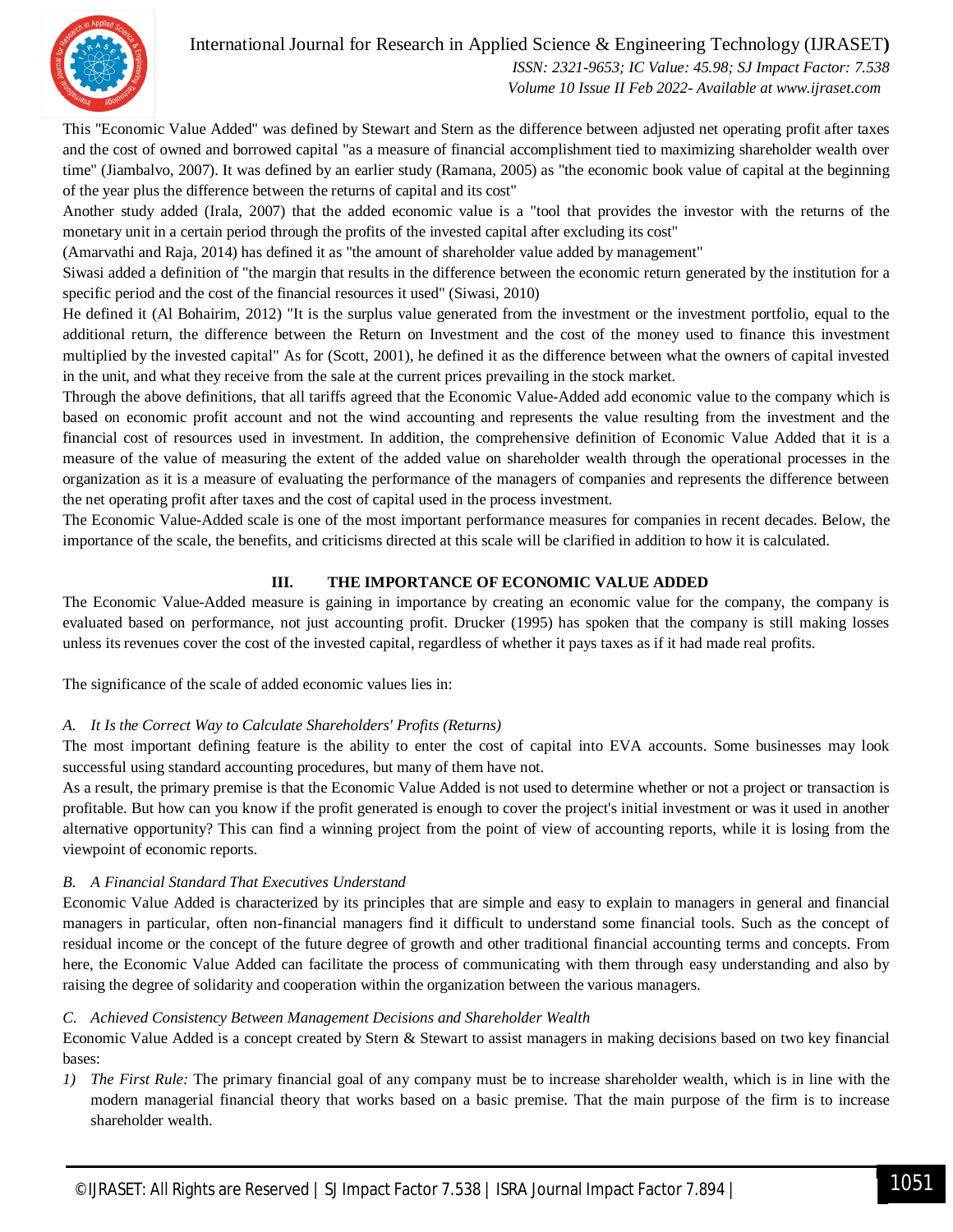

 *ISSN: 2321-9653; IC Value: 45.98; SJ Impact Factor: 7.538 Volume 10 Issue II Feb 2022- Available at www.ijraset.com*

This "Economic Value Added" was defined by Stewart and Stern as the difference between adjusted net operating profit after taxes and the cost of owned and borrowed capital "as a measure of financial accomplishment tied to maximizing shareholder wealth over time" (Jiambalvo, 2007). It was defined by an earlier study (Ramana, 2005) as "the economic book value of capital at the beginning of the year plus the difference between the returns of capital and its cost"

Another study added (Irala, 2007) that the added economic value is a "tool that provides the investor with the returns of the monetary unit in a certain period through the profits of the invested capital after excluding its cost"

(Amarvathi and Raja, 2014) has defined it as "the amount of shareholder value added by management"

Siwasi added a definition of "the margin that results in the difference between the economic return generated by the institution for a specific period and the cost of the financial resources it used" (Siwasi, 2010)

He defined it (Al Bohairim, 2012) "It is the surplus value generated from the investment or the investment portfolio, equal to the additional return, the difference between the Return on Investment and the cost of the money used to finance this investment multiplied by the invested capital" As for (Scott, 2001), he defined it as the difference between what the owners of capital invested in the unit, and what they receive from the sale at the current prices prevailing in the stock market.

Through the above definitions, that all tariffs agreed that the Economic Value-Added add economic value to the company which is based on economic profit account and not the wind accounting and represents the value resulting from the investment and the financial cost of resources used in investment. In addition, the comprehensive definition of Economic Value Added that it is a measure of the value of measuring the extent of the added value on shareholder wealth through the operational processes in the organization as it is a measure of evaluating the performance of the managers of companies and represents the difference between the net operating profit after taxes and the cost of capital used in the process investment.

The Economic Value-Added scale is one of the most important performance measures for companies in recent decades. Below, the importance of the scale, the benefits, and criticisms directed at this scale will be clarified in addition to how it is calculated.

## **III. THE IMPORTANCE OF ECONOMIC VALUE ADDED**

The Economic Value-Added measure is gaining in importance by creating an economic value for the company, the company is evaluated based on performance, not just accounting profit. Drucker (1995) has spoken that the company is still making losses unless its revenues cover the cost of the invested capital, regardless of whether it pays taxes as if it had made real profits.

The significance of the scale of added economic values lies in:

## *A. It Is the Correct Way to Calculate Shareholders' Profits (Returns)*

The most important defining feature is the ability to enter the cost of capital into EVA accounts. Some businesses may look successful using standard accounting procedures, but many of them have not.

As a result, the primary premise is that the Economic Value Added is not used to determine whether or not a project or transaction is profitable. But how can you know if the profit generated is enough to cover the project's initial investment or was it used in another alternative opportunity? This can find a winning project from the point of view of accounting reports, while it is losing from the viewpoint of economic reports.

### *B. A Financial Standard That Executives Understand*

Economic Value Added is characterized by its principles that are simple and easy to explain to managers in general and financial managers in particular, often non-financial managers find it difficult to understand some financial tools. Such as the concept of residual income or the concept of the future degree of growth and other traditional financial accounting terms and concepts. From here, the Economic Value Added can facilitate the process of communicating with them through easy understanding and also by raising the degree of solidarity and cooperation within the organization between the various managers.

### *C. Achieved Consistency Between Management Decisions and Shareholder Wealth*

Economic Value Added is a concept created by Stern & Stewart to assist managers in making decisions based on two key financial bases:

*1) The First Rule:* The primary financial goal of any company must be to increase shareholder wealth, which is in line with the modern managerial financial theory that works based on a basic premise. That the main purpose of the firm is to increase shareholder wealth.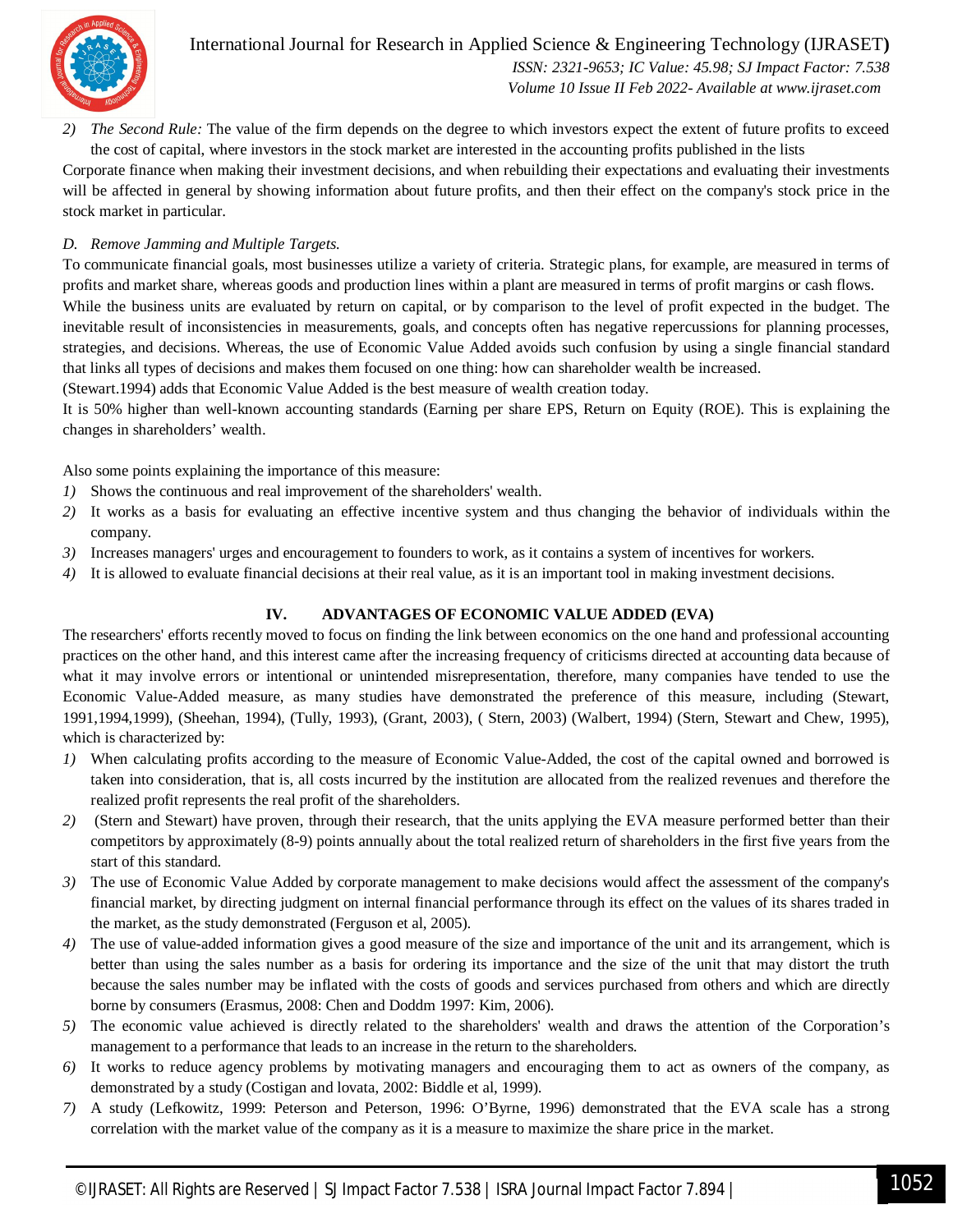

International Journal for Research in Applied Science & Engineering Technology (IJRASET**)**  *ISSN: 2321-9653; IC Value: 45.98; SJ Impact Factor: 7.538 Volume 10 Issue II Feb 2022- Available at www.ijraset.com*

*2) The Second Rule:* The value of the firm depends on the degree to which investors expect the extent of future profits to exceed the cost of capital, where investors in the stock market are interested in the accounting profits published in the lists

Corporate finance when making their investment decisions, and when rebuilding their expectations and evaluating their investments will be affected in general by showing information about future profits, and then their effect on the company's stock price in the stock market in particular.

## *D. Remove Jamming and Multiple Targets.*

To communicate financial goals, most businesses utilize a variety of criteria. Strategic plans, for example, are measured in terms of profits and market share, whereas goods and production lines within a plant are measured in terms of profit margins or cash flows. While the business units are evaluated by return on capital, or by comparison to the level of profit expected in the budget. The inevitable result of inconsistencies in measurements, goals, and concepts often has negative repercussions for planning processes, strategies, and decisions. Whereas, the use of Economic Value Added avoids such confusion by using a single financial standard that links all types of decisions and makes them focused on one thing: how can shareholder wealth be increased.

(Stewart.1994) adds that Economic Value Added is the best measure of wealth creation today.

It is 50% higher than well-known accounting standards (Earning per share EPS, Return on Equity (ROE). This is explaining the changes in shareholders' wealth.

Also some points explaining the importance of this measure:

- *1)* Shows the continuous and real improvement of the shareholders' wealth.
- *2)* It works as a basis for evaluating an effective incentive system and thus changing the behavior of individuals within the company.
- *3)* Increases managers' urges and encouragement to founders to work, as it contains a system of incentives for workers.
- *4)* It is allowed to evaluate financial decisions at their real value, as it is an important tool in making investment decisions.

## **IV. ADVANTAGES OF ECONOMIC VALUE ADDED (EVA)**

The researchers' efforts recently moved to focus on finding the link between economics on the one hand and professional accounting practices on the other hand, and this interest came after the increasing frequency of criticisms directed at accounting data because of what it may involve errors or intentional or unintended misrepresentation, therefore, many companies have tended to use the Economic Value-Added measure, as many studies have demonstrated the preference of this measure, including (Stewart, 1991,1994,1999), (Sheehan, 1994), (Tully, 1993), (Grant, 2003), ( Stern, 2003) (Walbert, 1994) (Stern, Stewart and Chew, 1995), which is characterized by:

- *1)* When calculating profits according to the measure of Economic Value-Added, the cost of the capital owned and borrowed is taken into consideration, that is, all costs incurred by the institution are allocated from the realized revenues and therefore the realized profit represents the real profit of the shareholders.
- *2)* (Stern and Stewart) have proven, through their research, that the units applying the EVA measure performed better than their competitors by approximately (8-9) points annually about the total realized return of shareholders in the first five years from the start of this standard.
- *3)* The use of Economic Value Added by corporate management to make decisions would affect the assessment of the company's financial market, by directing judgment on internal financial performance through its effect on the values of its shares traded in the market, as the study demonstrated (Ferguson et al, 2005).
- *4)* The use of value-added information gives a good measure of the size and importance of the unit and its arrangement, which is better than using the sales number as a basis for ordering its importance and the size of the unit that may distort the truth because the sales number may be inflated with the costs of goods and services purchased from others and which are directly borne by consumers (Erasmus, 2008: Chen and Doddm 1997: Kim, 2006).
- *5)* The economic value achieved is directly related to the shareholders' wealth and draws the attention of the Corporation's management to a performance that leads to an increase in the return to the shareholders.
- *6)* It works to reduce agency problems by motivating managers and encouraging them to act as owners of the company, as demonstrated by a study (Costigan and lovata, 2002: Biddle et al, 1999).
- *7)* A study (Lefkowitz, 1999: Peterson and Peterson, 1996: O'Byrne, 1996) demonstrated that the EVA scale has a strong correlation with the market value of the company as it is a measure to maximize the share price in the market.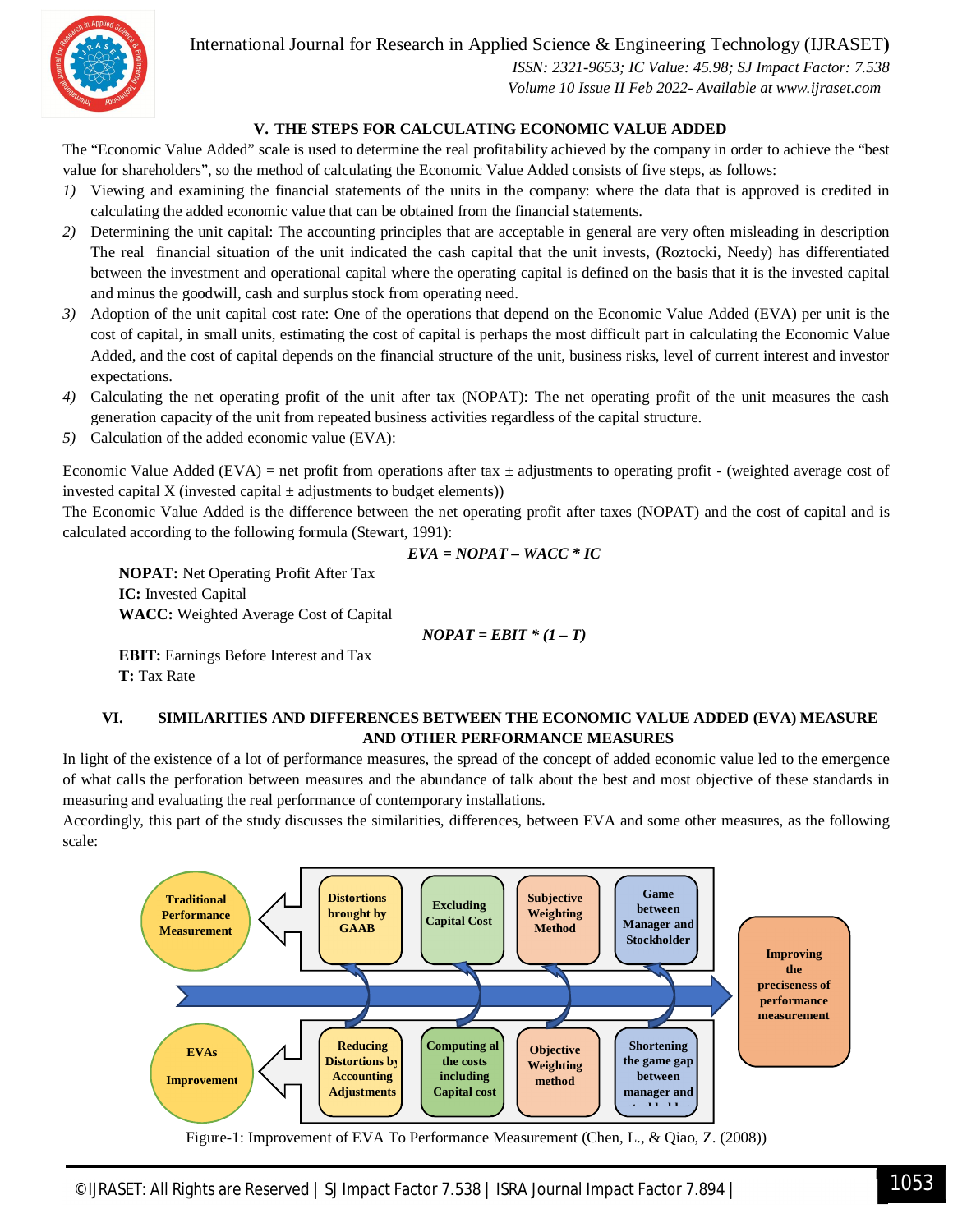

 *ISSN: 2321-9653; IC Value: 45.98; SJ Impact Factor: 7.538 Volume 10 Issue II Feb 2022- Available at www.ijraset.com*

## **V. THE STEPS FOR CALCULATING ECONOMIC VALUE ADDED**

The "Economic Value Added" scale is used to determine the real profitability achieved by the company in order to achieve the "best value for shareholders", so the method of calculating the Economic Value Added consists of five steps, as follows:

- *1)* Viewing and examining the financial statements of the units in the company: where the data that is approved is credited in calculating the added economic value that can be obtained from the financial statements.
- *2)* Determining the unit capital: The accounting principles that are acceptable in general are very often misleading in description The real financial situation of the unit indicated the cash capital that the unit invests, (Roztocki, Needy) has differentiated between the investment and operational capital where the operating capital is defined on the basis that it is the invested capital and minus the goodwill, cash and surplus stock from operating need.
- *3)* Adoption of the unit capital cost rate: One of the operations that depend on the Economic Value Added (EVA) per unit is the cost of capital, in small units, estimating the cost of capital is perhaps the most difficult part in calculating the Economic Value Added, and the cost of capital depends on the financial structure of the unit, business risks, level of current interest and investor expectations.
- *4)* Calculating the net operating profit of the unit after tax (NOPAT): The net operating profit of the unit measures the cash generation capacity of the unit from repeated business activities regardless of the capital structure.
- *5)* Calculation of the added economic value (EVA):

Economic Value Added (EVA) = net profit from operations after tax  $\pm$  adjustments to operating profit - (weighted average cost of invested capital X (invested capital  $\pm$  adjustments to budget elements))

The Economic Value Added is the difference between the net operating profit after taxes (NOPAT) and the cost of capital and is calculated according to the following formula (Stewart, 1991):

$$
EVA = NOPAT - WACC * IC
$$

**NOPAT:** Net Operating Profit After Tax **IC:** Invested Capital **WACC:** Weighted Average Cost of Capital

$$
NOPAT = EBIT * (1 - T)
$$

**EBIT:** Earnings Before Interest and Tax **T:** Tax Rate

## **VI. SIMILARITIES AND DIFFERENCES BETWEEN THE ECONOMIC VALUE ADDED (EVA) MEASURE AND OTHER PERFORMANCE MEASURES**

In light of the existence of a lot of performance measures, the spread of the concept of added economic value led to the emergence of what calls the perforation between measures and the abundance of talk about the best and most objective of these standards in measuring and evaluating the real performance of contemporary installations.

Accordingly, this part of the study discusses the similarities, differences, between EVA and some other measures, as the following scale:

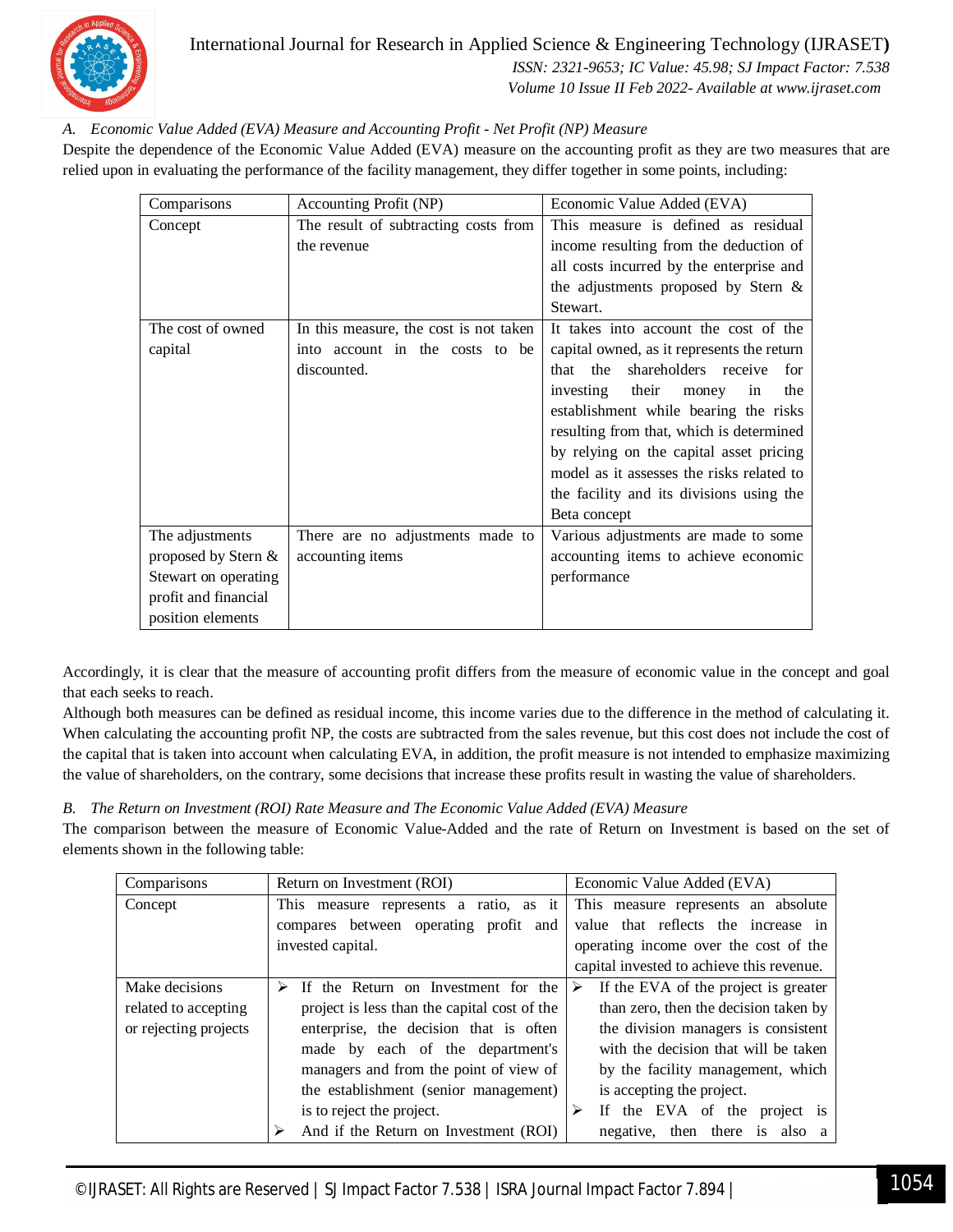

 *ISSN: 2321-9653; IC Value: 45.98; SJ Impact Factor: 7.538 Volume 10 Issue II Feb 2022- Available at www.ijraset.com*

## *A. Economic Value Added (EVA) Measure and Accounting Profit - Net Profit (NP) Measure*

Despite the dependence of the Economic Value Added (EVA) measure on the accounting profit as they are two measures that are relied upon in evaluating the performance of the facility management, they differ together in some points, including:

| Comparisons          | Accounting Profit (NP)                 | Economic Value Added (EVA)                 |
|----------------------|----------------------------------------|--------------------------------------------|
| Concept              | The result of subtracting costs from   | This measure is defined as residual        |
|                      | the revenue                            | income resulting from the deduction of     |
|                      |                                        | all costs incurred by the enterprise and   |
|                      |                                        | the adjustments proposed by Stern $\&$     |
|                      |                                        | Stewart.                                   |
| The cost of owned    | In this measure, the cost is not taken | It takes into account the cost of the      |
| capital              | into account in the costs to be        | capital owned, as it represents the return |
|                      | discounted.                            | shareholders receive<br>the<br>that<br>for |
|                      |                                        | investing<br>their<br>money<br>in<br>the   |
|                      |                                        | establishment while bearing the risks      |
|                      |                                        | resulting from that, which is determined   |
|                      |                                        | by relying on the capital asset pricing    |
|                      |                                        | model as it assesses the risks related to  |
|                      |                                        | the facility and its divisions using the   |
|                      |                                        | Beta concept                               |
| The adjustments      | There are no adjustments made to       | Various adjustments are made to some       |
| proposed by Stern &  | accounting items                       | accounting items to achieve economic       |
| Stewart on operating |                                        | performance                                |
| profit and financial |                                        |                                            |
| position elements    |                                        |                                            |

Accordingly, it is clear that the measure of accounting profit differs from the measure of economic value in the concept and goal that each seeks to reach.

Although both measures can be defined as residual income, this income varies due to the difference in the method of calculating it. When calculating the accounting profit NP, the costs are subtracted from the sales revenue, but this cost does not include the cost of the capital that is taken into account when calculating EVA, in addition, the profit measure is not intended to emphasize maximizing the value of shareholders, on the contrary, some decisions that increase these profits result in wasting the value of shareholders.

*B. The Return on Investment (ROI) Rate Measure and The Economic Value Added (EVA) Measure*

The comparison between the measure of Economic Value-Added and the rate of Return on Investment is based on the set of elements shown in the following table:

| Comparisons           | Return on Investment (ROI)                   | Economic Value Added (EVA)                |
|-----------------------|----------------------------------------------|-------------------------------------------|
| Concept               | This measure represents a ratio, as it       | This measure represents an absolute       |
|                       | compares between operating profit and        | value that reflects the increase in       |
|                       | invested capital.                            | operating income over the cost of the     |
|                       |                                              | capital invested to achieve this revenue. |
| Make decisions        | If the Return on Investment for the<br>➤     | If the EVA of the project is greater<br>➤ |
| related to accepting  | project is less than the capital cost of the | than zero, then the decision taken by     |
| or rejecting projects | enterprise, the decision that is often       | the division managers is consistent       |
|                       | made by each of the department's             | with the decision that will be taken      |
|                       | managers and from the point of view of       | by the facility management, which         |
|                       | the establishment (senior management)        | is accepting the project.                 |
|                       | is to reject the project.                    | If the EVA of the project is              |
|                       | And if the Return on Investment (ROI)        | negative, then there is also a            |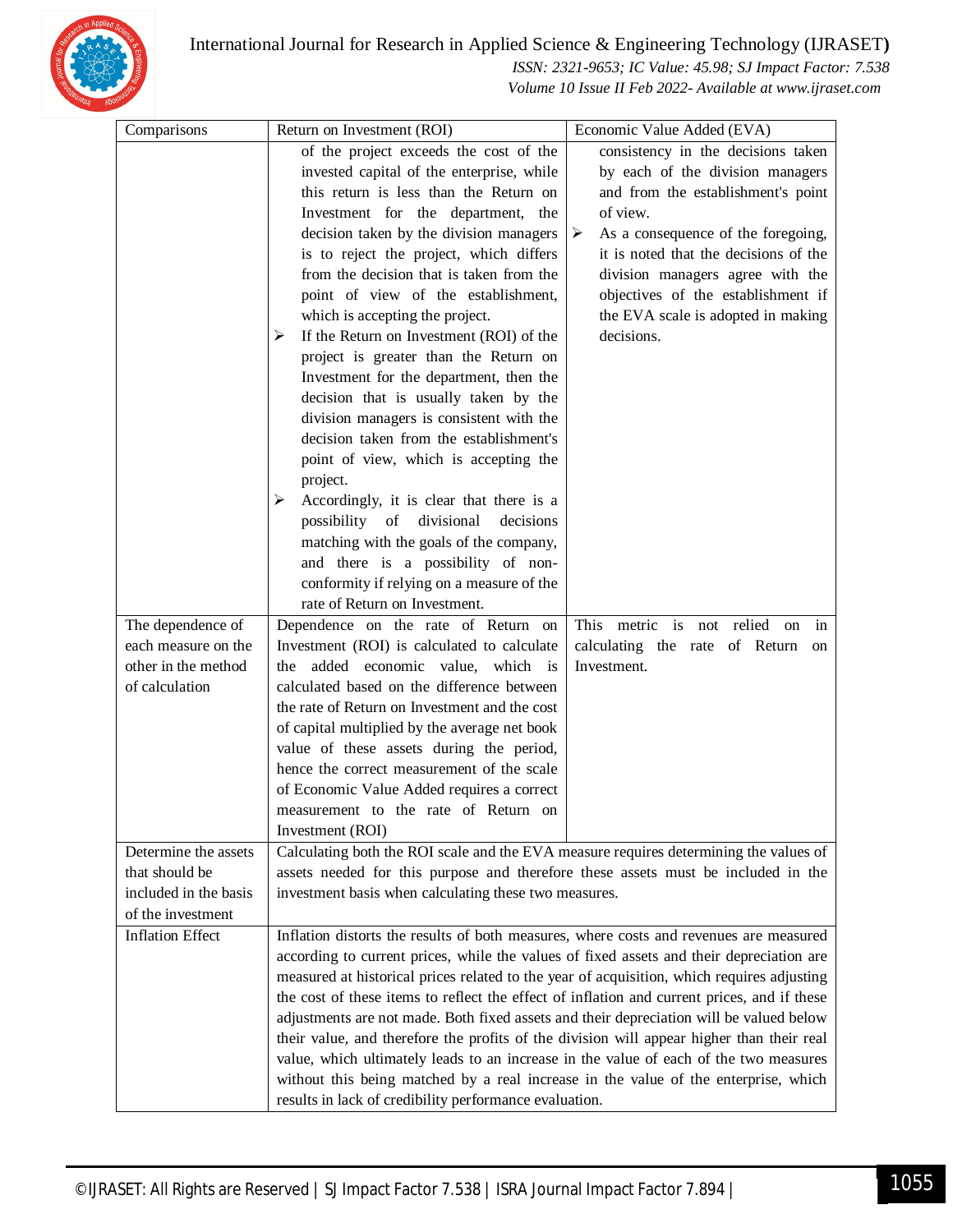

 *ISSN: 2321-9653; IC Value: 45.98; SJ Impact Factor: 7.538 Volume 10 Issue II Feb 2022- Available at www.ijraset.com*

| Comparisons             | Return on Investment (ROI)                                                                  | Economic Value Added (EVA)              |  |
|-------------------------|---------------------------------------------------------------------------------------------|-----------------------------------------|--|
|                         | of the project exceeds the cost of the                                                      | consistency in the decisions taken      |  |
|                         | invested capital of the enterprise, while                                                   | by each of the division managers        |  |
|                         | this return is less than the Return on                                                      | and from the establishment's point      |  |
|                         | Investment for the department, the                                                          | of view.                                |  |
|                         | decision taken by the division managers                                                     | As a consequence of the foregoing,<br>➤ |  |
|                         | is to reject the project, which differs                                                     | it is noted that the decisions of the   |  |
|                         | from the decision that is taken from the                                                    | division managers agree with the        |  |
|                         | point of view of the establishment,                                                         | objectives of the establishment if      |  |
|                         | which is accepting the project.                                                             | the EVA scale is adopted in making      |  |
|                         | If the Return on Investment (ROI) of the<br>➤                                               | decisions.                              |  |
|                         | project is greater than the Return on                                                       |                                         |  |
|                         | Investment for the department, then the                                                     |                                         |  |
|                         | decision that is usually taken by the                                                       |                                         |  |
|                         | division managers is consistent with the                                                    |                                         |  |
|                         | decision taken from the establishment's                                                     |                                         |  |
|                         | point of view, which is accepting the                                                       |                                         |  |
|                         | project.                                                                                    |                                         |  |
|                         | Accordingly, it is clear that there is a<br>➤                                               |                                         |  |
|                         | possibility of divisional<br>decisions                                                      |                                         |  |
|                         | matching with the goals of the company,                                                     |                                         |  |
|                         | and there is a possibility of non-                                                          |                                         |  |
|                         | conformity if relying on a measure of the                                                   |                                         |  |
|                         | rate of Return on Investment.                                                               |                                         |  |
| The dependence of       | Dependence on the rate of Return on                                                         | This metric is not relied<br>on<br>in   |  |
| each measure on the     | Investment (ROI) is calculated to calculate                                                 | calculating the rate of Return<br>on    |  |
| other in the method     | the added economic value, which is                                                          | Investment.                             |  |
| of calculation          | calculated based on the difference between                                                  |                                         |  |
|                         | the rate of Return on Investment and the cost                                               |                                         |  |
|                         | of capital multiplied by the average net book                                               |                                         |  |
|                         | value of these assets during the period,                                                    |                                         |  |
|                         | hence the correct measurement of the scale                                                  |                                         |  |
|                         | of Economic Value Added requires a correct                                                  |                                         |  |
|                         | measurement to the rate of Return on                                                        |                                         |  |
|                         | Investment (ROI)                                                                            |                                         |  |
| Determine the assets    | Calculating both the ROI scale and the EVA measure requires determining the values of       |                                         |  |
| that should be          | assets needed for this purpose and therefore these assets must be included in the           |                                         |  |
| included in the basis   | investment basis when calculating these two measures.                                       |                                         |  |
| of the investment       |                                                                                             |                                         |  |
| <b>Inflation Effect</b> | Inflation distorts the results of both measures, where costs and revenues are measured      |                                         |  |
|                         | according to current prices, while the values of fixed assets and their depreciation are    |                                         |  |
|                         | measured at historical prices related to the year of acquisition, which requires adjusting  |                                         |  |
|                         | the cost of these items to reflect the effect of inflation and current prices, and if these |                                         |  |
|                         | adjustments are not made. Both fixed assets and their depreciation will be valued below     |                                         |  |
|                         | their value, and therefore the profits of the division will appear higher than their real   |                                         |  |
|                         | value, which ultimately leads to an increase in the value of each of the two measures       |                                         |  |
|                         | without this being matched by a real increase in the value of the enterprise, which         |                                         |  |
|                         | results in lack of credibility performance evaluation.                                      |                                         |  |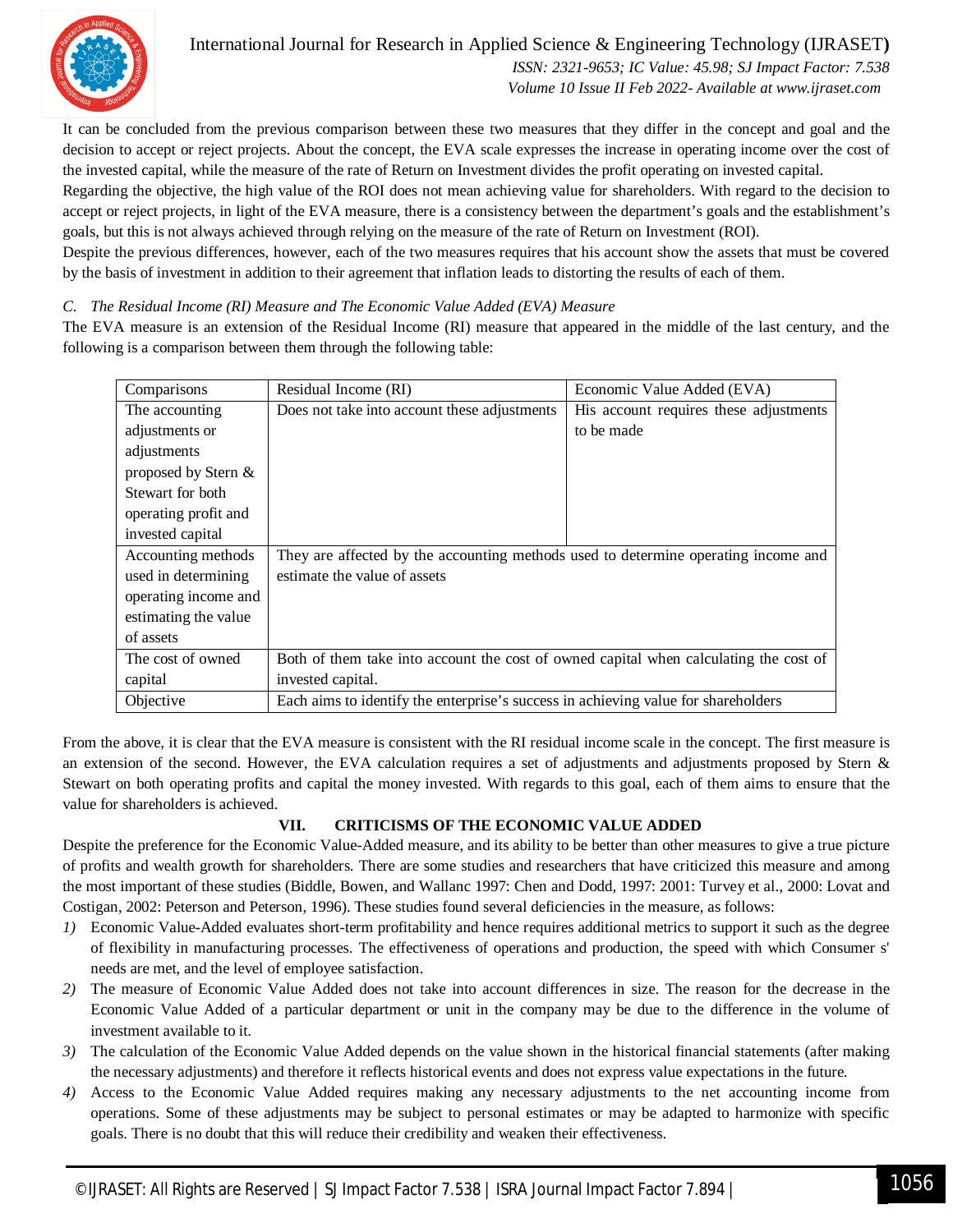

 *ISSN: 2321-9653; IC Value: 45.98; SJ Impact Factor: 7.538 Volume 10 Issue II Feb 2022- Available at www.ijraset.com*

It can be concluded from the previous comparison between these two measures that they differ in the concept and goal and the decision to accept or reject projects. About the concept, the EVA scale expresses the increase in operating income over the cost of the invested capital, while the measure of the rate of Return on Investment divides the profit operating on invested capital.

Regarding the objective, the high value of the ROI does not mean achieving value for shareholders. With regard to the decision to accept or reject projects, in light of the EVA measure, there is a consistency between the department's goals and the establishment's goals, but this is not always achieved through relying on the measure of the rate of Return on Investment (ROI).

Despite the previous differences, however, each of the two measures requires that his account show the assets that must be covered by the basis of investment in addition to their agreement that inflation leads to distorting the results of each of them.

## *C. The Residual Income (RI) Measure and The Economic Value Added (EVA) Measure*

The EVA measure is an extension of the Residual Income (RI) measure that appeared in the middle of the last century, and the following is a comparison between them through the following table:

| Comparisons          | Residual Income (RI)                                                                  | Economic Value Added (EVA)             |
|----------------------|---------------------------------------------------------------------------------------|----------------------------------------|
| The accounting       | Does not take into account these adjustments                                          | His account requires these adjustments |
| adjustments or       |                                                                                       | to be made                             |
| adjustments          |                                                                                       |                                        |
| proposed by Stern &  |                                                                                       |                                        |
| Stewart for both     |                                                                                       |                                        |
| operating profit and |                                                                                       |                                        |
| invested capital     |                                                                                       |                                        |
| Accounting methods   | They are affected by the accounting methods used to determine operating income and    |                                        |
| used in determining  | estimate the value of assets                                                          |                                        |
| operating income and |                                                                                       |                                        |
| estimating the value |                                                                                       |                                        |
| of assets            |                                                                                       |                                        |
| The cost of owned    | Both of them take into account the cost of owned capital when calculating the cost of |                                        |
| capital              | invested capital.                                                                     |                                        |
| Objective            | Each aims to identify the enterprise's success in achieving value for shareholders    |                                        |

From the above, it is clear that the EVA measure is consistent with the RI residual income scale in the concept. The first measure is an extension of the second. However, the EVA calculation requires a set of adjustments and adjustments proposed by Stern  $\&$ Stewart on both operating profits and capital the money invested. With regards to this goal, each of them aims to ensure that the value for shareholders is achieved.

## **VII. CRITICISMS OF THE ECONOMIC VALUE ADDED**

Despite the preference for the Economic Value-Added measure, and its ability to be better than other measures to give a true picture of profits and wealth growth for shareholders. There are some studies and researchers that have criticized this measure and among the most important of these studies (Biddle, Bowen, and Wallanc 1997: Chen and Dodd, 1997: 2001: Turvey et al., 2000: Lovat and Costigan, 2002: Peterson and Peterson, 1996). These studies found several deficiencies in the measure, as follows:

- *1)* Economic Value-Added evaluates short-term profitability and hence requires additional metrics to support it such as the degree of flexibility in manufacturing processes. The effectiveness of operations and production, the speed with which Consumer s' needs are met, and the level of employee satisfaction.
- *2)* The measure of Economic Value Added does not take into account differences in size. The reason for the decrease in the Economic Value Added of a particular department or unit in the company may be due to the difference in the volume of investment available to it.
- *3)* The calculation of the Economic Value Added depends on the value shown in the historical financial statements (after making the necessary adjustments) and therefore it reflects historical events and does not express value expectations in the future.
- *4)* Access to the Economic Value Added requires making any necessary adjustments to the net accounting income from operations. Some of these adjustments may be subject to personal estimates or may be adapted to harmonize with specific goals. There is no doubt that this will reduce their credibility and weaken their effectiveness.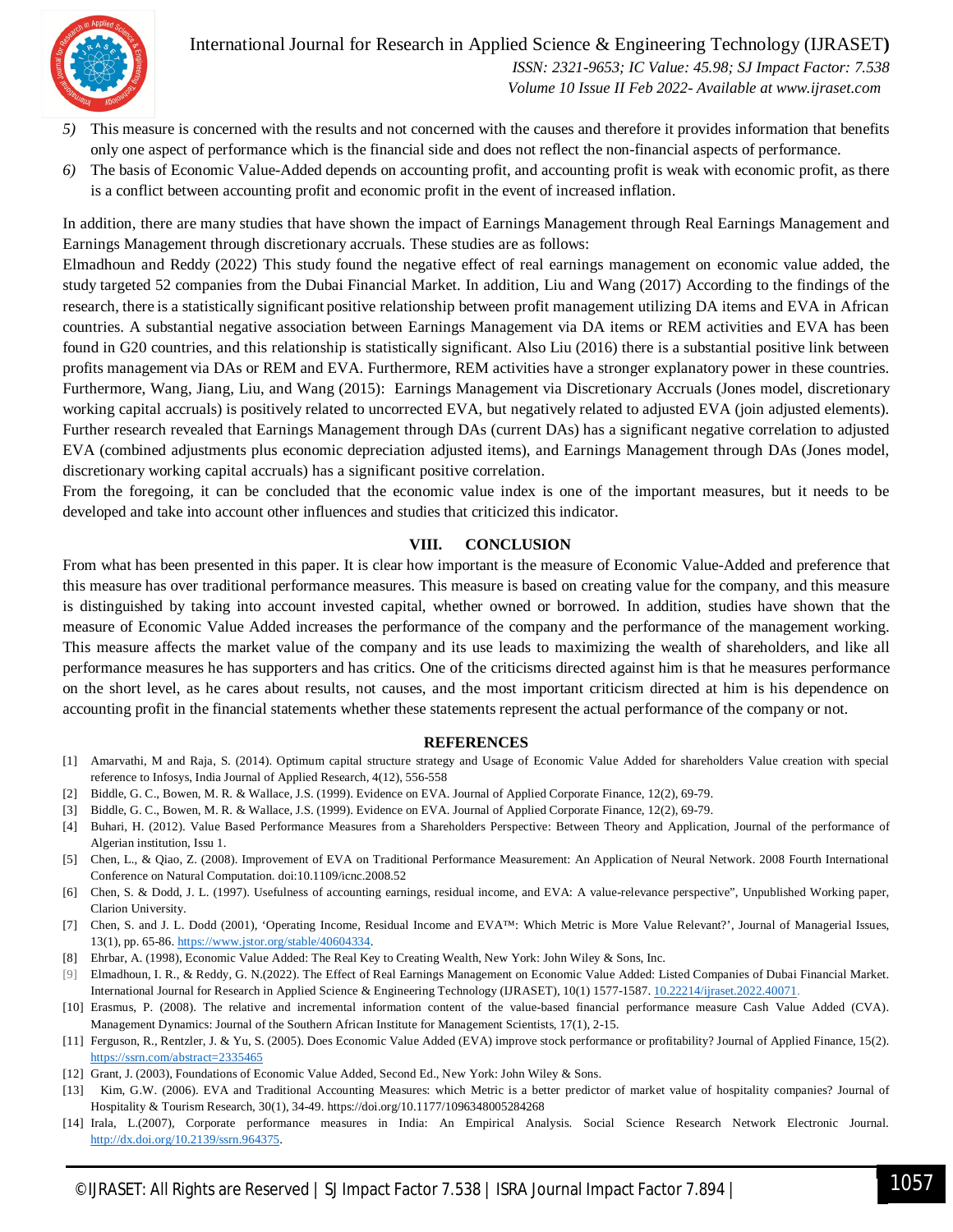

International Journal for Research in Applied Science & Engineering Technology (IJRASET**)**  *ISSN: 2321-9653; IC Value: 45.98; SJ Impact Factor: 7.538 Volume 10 Issue II Feb 2022- Available at www.ijraset.com*

- *5)* This measure is concerned with the results and not concerned with the causes and therefore it provides information that benefits only one aspect of performance which is the financial side and does not reflect the non-financial aspects of performance.
- *6)* The basis of Economic Value-Added depends on accounting profit, and accounting profit is weak with economic profit, as there is a conflict between accounting profit and economic profit in the event of increased inflation.

In addition, there are many studies that have shown the impact of Earnings Management through Real Earnings Management and Earnings Management through discretionary accruals. These studies are as follows:

Elmadhoun and Reddy (2022) This study found the negative effect of real earnings management on economic value added, the study targeted 52 companies from the Dubai Financial Market. In addition, Liu and Wang (2017) According to the findings of the research, there is a statistically significant positive relationship between profit management utilizing DA items and EVA in African countries. A substantial negative association between Earnings Management via DA items or REM activities and EVA has been found in G20 countries, and this relationship is statistically significant. Also Liu (2016) there is a substantial positive link between profits management via DAs or REM and EVA. Furthermore, REM activities have a stronger explanatory power in these countries. Furthermore, Wang, Jiang, Liu, and Wang (2015): Earnings Management via Discretionary Accruals (Jones model, discretionary working capital accruals) is positively related to uncorrected EVA, but negatively related to adjusted EVA (join adjusted elements). Further research revealed that Earnings Management through DAs (current DAs) has a significant negative correlation to adjusted EVA (combined adjustments plus economic depreciation adjusted items), and Earnings Management through DAs (Jones model, discretionary working capital accruals) has a significant positive correlation.

From the foregoing, it can be concluded that the economic value index is one of the important measures, but it needs to be developed and take into account other influences and studies that criticized this indicator.

#### **VIII. CONCLUSION**

From what has been presented in this paper. It is clear how important is the measure of Economic Value-Added and preference that this measure has over traditional performance measures. This measure is based on creating value for the company, and this measure is distinguished by taking into account invested capital, whether owned or borrowed. In addition, studies have shown that the measure of Economic Value Added increases the performance of the company and the performance of the management working. This measure affects the market value of the company and its use leads to maximizing the wealth of shareholders, and like all performance measures he has supporters and has critics. One of the criticisms directed against him is that he measures performance on the short level, as he cares about results, not causes, and the most important criticism directed at him is his dependence on accounting profit in the financial statements whether these statements represent the actual performance of the company or not.

#### **REFERENCES**

- [1] Amarvathi, M and Raja, S. (2014). Optimum capital structure strategy and Usage of Economic Value Added for shareholders Value creation with special reference to Infosys, India Journal of Applied Research, 4(12), 556-558
- [2] Biddle, G. C., Bowen, M. R. & Wallace, J.S. (1999). Evidence on EVA. Journal of Applied Corporate Finance, 12(2), 69-79.
- [3] Biddle, G. C., Bowen, M. R. & Wallace, J.S. (1999). Evidence on EVA. Journal of Applied Corporate Finance, 12(2), 69-79.
- [4] Buhari, H. (2012). Value Based Performance Measures from a Shareholders Perspective: Between Theory and Application, Journal of the performance of Algerian institution, Issu 1.
- [5] Chen, L., & Qiao, Z. (2008). Improvement of EVA on Traditional Performance Measurement: An Application of Neural Network. 2008 Fourth International Conference on Natural Computation. doi:10.1109/icnc.2008.52
- [6] Chen, S. & Dodd, J. L. (1997). Usefulness of accounting earnings, residual income, and EVA: A value-relevance perspective", Unpublished Working paper, Clarion University.
- [7] Chen, S. and J. L. Dodd (2001), 'Operating Income, Residual Income and EVA™: Which Metric is More Value Relevant?', Journal of Managerial Issues, 13(1), pp. 65-86. https://www.jstor.org/stable/40604334.
- [8] Ehrbar, A. (1998), Economic Value Added: The Real Key to Creating Wealth, New York: John Wiley & Sons, Inc.
- [9] Elmadhoun, I. R., & Reddy, G. N.(2022). The Effect of Real Earnings Management on Economic Value Added: Listed Companies of Dubai Financial Market. International Journal for Research in Applied Science & Engineering Technology (IJRASET), 10(1) 1577-1587. 10.22214/ijraset.2022.40071.
- [10] Erasmus, P. (2008). The relative and incremental information content of the value-based financial performance measure Cash Value Added (CVA). Management Dynamics: Journal of the Southern African Institute for Management Scientists, 17(1), 2-15.
- [11] Ferguson, R., Rentzler, J. & Yu, S. (2005). Does Economic Value Added (EVA) improve stock performance or profitability? Journal of Applied Finance, 15(2). https://ssrn.com/abstract=2335465
- [12] Grant, J. (2003), Foundations of Economic Value Added, Second Ed., New York: John Wiley & Sons.
- [13] Kim, G.W. (2006). EVA and Traditional Accounting Measures: which Metric is a better predictor of market value of hospitality companies? Journal of Hospitality & Tourism Research, 30(1), 34-49. https://doi.org/10.1177/1096348005284268
- [14] Irala, L.(2007), Corporate performance measures in India: An Empirical Analysis. Social Science Research Network Electronic Journal. http://dx.doi.org/10.2139/ssrn.964375.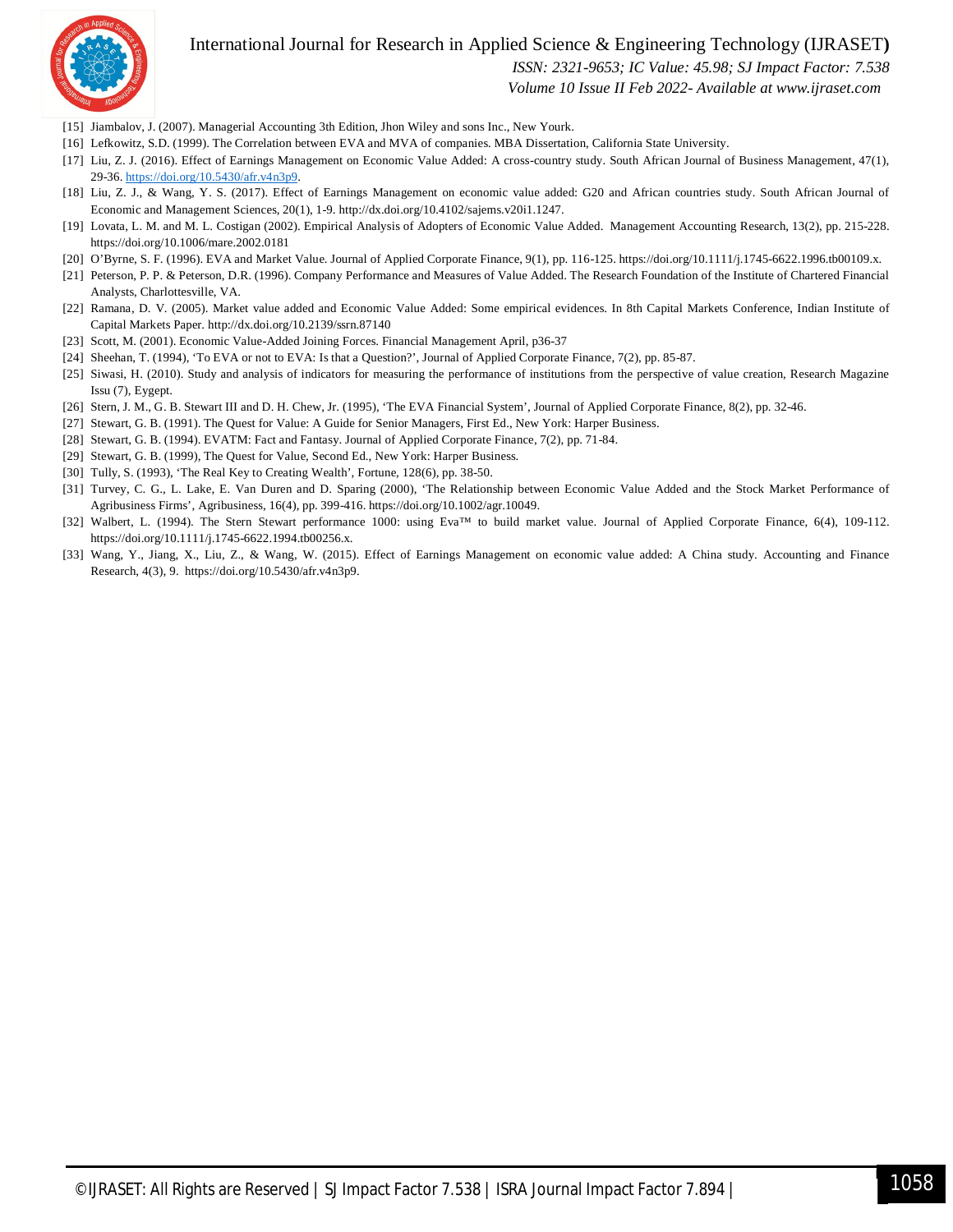

 *ISSN: 2321-9653; IC Value: 45.98; SJ Impact Factor: 7.538*

 *Volume 10 Issue II Feb 2022- Available at www.ijraset.com*

- [15] Jiambalov, J. (2007). Managerial Accounting 3th Edition, Jhon Wiley and sons Inc., New Yourk.
- [16] Lefkowitz, S.D. (1999). The Correlation between EVA and MVA of companies. MBA Dissertation, California State University.
- [17] Liu, Z. J. (2016). Effect of Earnings Management on Economic Value Added: A cross-country study. South African Journal of Business Management, 47(1), 29-36. https://doi.org/10.5430/afr.v4n3p9.
- [18] Liu, Z. J., & Wang, Y. S. (2017). Effect of Earnings Management on economic value added: G20 and African countries study. South African Journal of Economic and Management Sciences, 20(1), 1-9. http://dx.doi.org/10.4102/sajems.v20i1.1247.
- [19] Lovata, L. M. and M. L. Costigan (2002). Empirical Analysis of Adopters of Economic Value Added. Management Accounting Research, 13(2), pp. 215-228. https://doi.org/10.1006/mare.2002.0181
- [20] O'Byrne, S. F. (1996). EVA and Market Value. Journal of Applied Corporate Finance, 9(1), pp. 116-125. https://doi.org/10.1111/j.1745-6622.1996.tb00109.x.
- [21] Peterson, P. P. & Peterson, D.R. (1996). Company Performance and Measures of Value Added. The Research Foundation of the Institute of Chartered Financial Analysts, Charlottesville, VA.
- [22] Ramana, D. V. (2005). Market value added and Economic Value Added: Some empirical evidences. In 8th Capital Markets Conference, Indian Institute of Capital Markets Paper. http://dx.doi.org/10.2139/ssrn.87140
- [23] Scott, M. (2001). Economic Value-Added Joining Forces. Financial Management April, p36-37
- [24] Sheehan, T. (1994), 'To EVA or not to EVA: Is that a Question?', Journal of Applied Corporate Finance, 7(2), pp. 85-87.
- [25] Siwasi, H. (2010). Study and analysis of indicators for measuring the performance of institutions from the perspective of value creation, Research Magazine Issu (7), Eygept.
- [26] Stern, J. M., G. B. Stewart III and D. H. Chew, Jr. (1995), 'The EVA Financial System', Journal of Applied Corporate Finance, 8(2), pp. 32-46.
- [27] Stewart, G. B. (1991). The Quest for Value: A Guide for Senior Managers, First Ed., New York: Harper Business.
- [28] Stewart, G. B. (1994). EVATM: Fact and Fantasy. Journal of Applied Corporate Finance, 7(2), pp. 71-84.
- [29] Stewart, G. B. (1999), The Quest for Value, Second Ed., New York: Harper Business.
- [30] Tully, S. (1993), 'The Real Key to Creating Wealth', Fortune, 128(6), pp. 38-50.
- [31] Turvey, C. G., L. Lake, E. Van Duren and D. Sparing (2000), 'The Relationship between Economic Value Added and the Stock Market Performance of Agribusiness Firms', Agribusiness, 16(4), pp. 399-416. https://doi.org/10.1002/agr.10049.
- [32] Walbert, L. (1994). The Stern Stewart performance 1000: using Eva™ to build market value. Journal of Applied Corporate Finance, 6(4), 109-112. https://doi.org/10.1111/j.1745-6622.1994.tb00256.x.
- [33] Wang, Y., Jiang, X., Liu, Z., & Wang, W. (2015). Effect of Earnings Management on economic value added: A China study. Accounting and Finance Research, 4(3), 9. https://doi.org/10.5430/afr.v4n3p9.